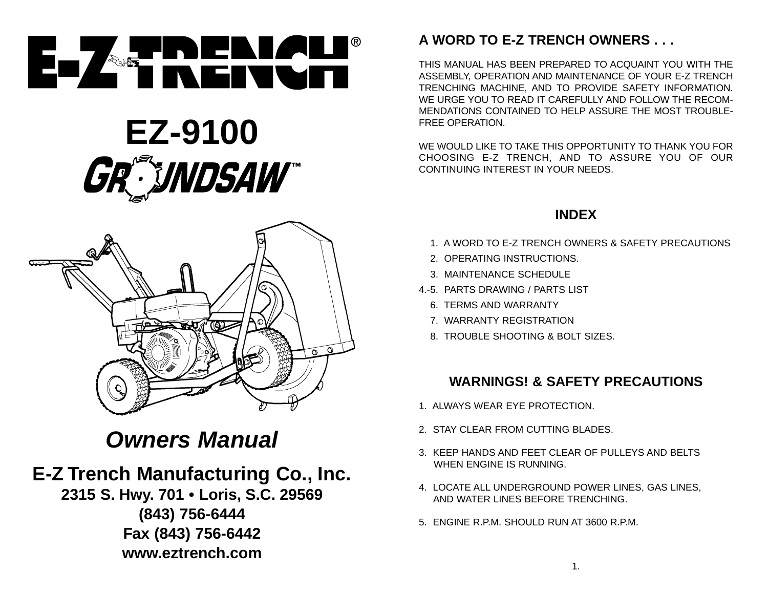

# **EZ-9100** GR<sup>ANDSAW</sup>



## **Owners Manual**

## **E-Z Trench Manufacturing Co., Inc.**

**2315 S. Hwy. 701 • Loris, S.C. 29569 (843) 756-6444 Fax (843) 756-6442 www.eztrench.com**

## **A WORD TO E-Z TRENCH OWNERS . . .**

THIS MANUAL HAS BEEN PREPARED TO ACQUAINT YOU WITH THEASSEMBLY, OPERATION AND MAINTENANCE OF YOUR E-Z TRENCH TRENCHING MACHINE, AND TO PROVIDE SAFETY INFORMATION. WE URGE YOU TO READ IT CAREFULLY AND FOLLOW THE RECOM-MENDATIONS CONTAINED TO HELP ASSURE THE MOST TROUBLE-FREE OPERATION.

WE WOULD LIKE TO TAKE THIS OPPORTUNITY TO THANK YOU FORCHOOSING E-Z TRENCH, AND TO ASSURE YOU OF OUR CONTINUING INTEREST IN YOUR NEEDS.

## **INDEX**

- 4.-1. A WORD TO E-Z TRENCH OWNERS & SAFETY PRECAUTIONS
- 2. OPERATING INSTRUCTIONS.
- 3. MAINTENANCE SCHEDULE
- 4.-5. PARTS DRAWING / PARTS LIST
	- 6. TERMS AND WARRANTY
	- 7. WARRANTY REGISTRATION
	- 8. TROUBLE SHOOTING & BOLT SIZES.

## **WARNINGS! & SAFETY PRECAUTIONS**

- 1. ALWAYS WEAR EYE PROTECTION.
- 2. STAY CLEAR FROM CUTTING BLADES.
- 3. KEEP HANDS AND FEET CLEAR OF PULLEYS AND BELTSWHEN ENGINE IS RUNNING.
- 4. LOCATE ALL UNDERGROUND POWER LINES, GAS LINES, AND WATER LINES BEFORE TRENCHING.
- 5. ENGINE R.P.M. SHOULD RUN AT 3600 R.P.M.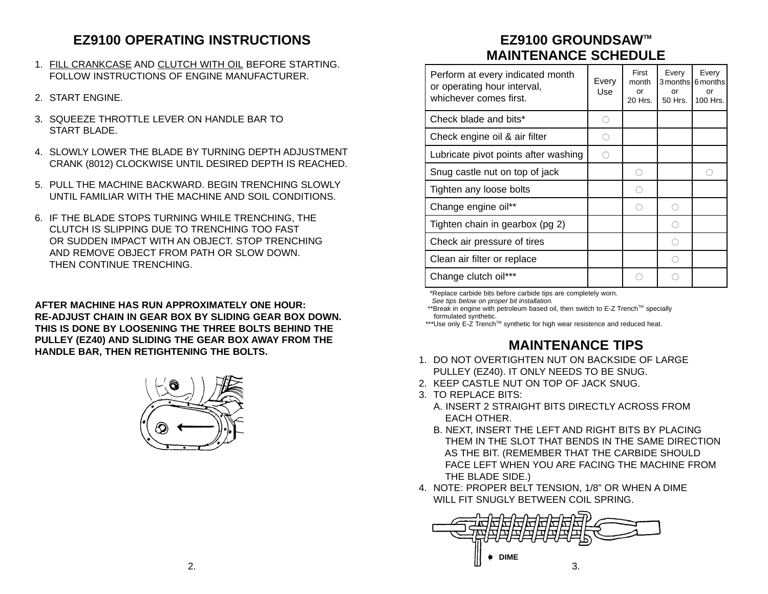## **EZ9100 OPERATING INSTRUCTIONS**

- 1. FILL CRANKCASE AND CLUTCH WITH OIL BEFORE STARTING. FOLLOW INSTRUCTIONS OF ENGINE MANUFACTURER.
- 2. START ENGINE.
- 3. SOUFFZE THROTTLE LEVER ON HANDLE BAR TO START BLADE
- 4. SLOWLY LOWER THE BLADE BY TURNING DEPTH ADJUSTMENTCRANK (8012) CLOCKWISE UNTIL DESIRED DEPTH IS REACHED.
- 5. PULL THE MACHINE BACKWARD. BEGIN TRENCHING SLOWLYUNTIL FAMILIAR WITH THE MACHINE AND SOIL CONDITIONS.
- 6. IF THE BLADE STOPS TURNING WHILE TRENCHING, THE CLUTCH IS SLIPPING DUE TO TRENCHING TOO FASTOR SUDDEN IMPACT WITH AN OBJECT. STOP TRENCHING. AND REMOVE OBJECT FROM PATH OR SLOW DOWN. THEN CONTINUE TRENCHING.

**AFTER MACHINE HAS RUN APPROXIMATELY ONE HOUR:RE-ADJUST CHAIN IN GEAR BOX BY SLIDING GEAR BOX DOWN. THIS IS DONE BY LOOSENING THE THREE BOLTS BEHIND THEPULLEY (EZ40) AND SLIDING THE GEAR BOX AWAY FROM THE HANDLE BAR, THEN RETIGHTENING THE BOLTS.**



## **EZ9100 GROUNDSAWTM MAINTENANCE SCHEDULE**

| Perform at every indicated month<br>or operating hour interval,<br>whichever comes first. | Every<br>Use | First<br>month<br>or<br>20 Hrs. | Every<br>or<br>50 Hrs. | Every<br>3 months 6 months<br>or<br>100 Hrs. |
|-------------------------------------------------------------------------------------------|--------------|---------------------------------|------------------------|----------------------------------------------|
| Check blade and bits*                                                                     | ∩            |                                 |                        |                                              |
| Check engine oil & air filter                                                             | ∩            |                                 |                        |                                              |
| Lubricate pivot points after washing                                                      | ∩            |                                 |                        |                                              |
| Snug castle nut on top of jack                                                            |              | ◠                               |                        |                                              |
| Tighten any loose bolts                                                                   |              | ◠                               |                        |                                              |
| Change engine oil**                                                                       |              |                                 |                        |                                              |
| Tighten chain in gearbox (pg 2)                                                           |              |                                 |                        |                                              |
| Check air pressure of tires                                                               |              |                                 | ∩                      |                                              |
| Clean air filter or replace                                                               |              |                                 | ∩                      |                                              |
| Change clutch oil***                                                                      |              |                                 |                        |                                              |

\*Replace carbide bits before carbide tips are completely worn.

See tips below on proper bit installation.

\*\*Break in engine with petroleum based oil, then switch to E-Z Trench™ specially formulated synthetic.

\*\*\*Use only E-Z Trench™ synthetic for high wear resistence and reduced heat.

## **MAINTENANCE TIPS**

- 1. DO NOT OVERTIGHTEN NUT ON BACKSIDE OF LARGE PULLEY (EZ40). IT ONLY NEEDS TO BE SNUG.
- 2. KEEP CASTLE NUT ON TOP OF JACK SNUG.
- 3. TO REPLACE BITS:
	- A. INSERT 2 STRAIGHT BITS DIRECTLY ACROSS FROMEACH OTHER.
	- B. NEXT, INSERT THE LEFT AND RIGHT BITS BY PLACING THEM IN THE SLOT THAT BENDS IN THE SAME DIRECTIONAS THE BIT. (REMEMBER THAT THE CARBIDE SHOULD FACE LEFT WHEN YOU ARE FACING THE MACHINE FROMTHE BLADE SIDE.)
- 4. NOTE: PROPER BELT TENSION, 1/8" OR WHEN A DIME WILL FIT SNUGLY BETWEEN COIL SPRING.

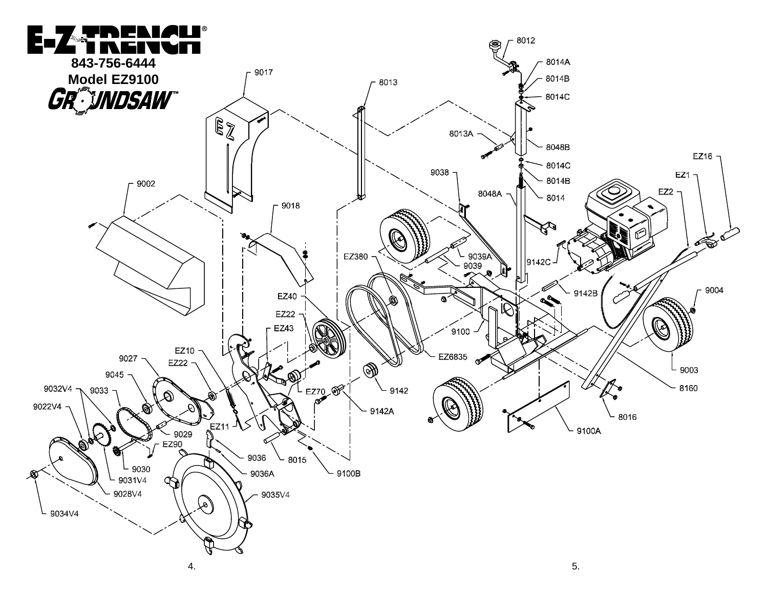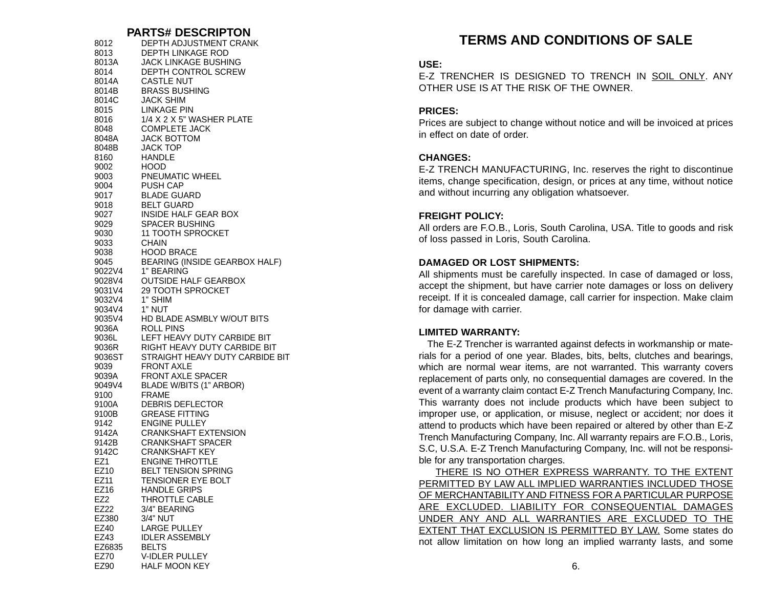#### **PARTS# DESCRIPTON**

| 8012            | DEPTH ADJUSTMENT CRANK                               |
|-----------------|------------------------------------------------------|
| 8013            | <b>DEPTH LINKAGE ROD</b>                             |
| 8013A           | JACK LINKAGE BUSHING                                 |
| 8014            | <b>DEPTH CONTROL SCREW</b>                           |
| 8014A           | <b>CASTLE NUT</b>                                    |
| 8014B           | <b>BRASS BUSHING</b>                                 |
| 8014C           | <b>JACK SHIM</b>                                     |
| 8015            | <b>LINKAGE PIN</b>                                   |
| 8016            | 1/4 X 2 X 5" WASHER PLATE                            |
| 8048            | <b>COMPLETE JACK</b>                                 |
| 8048A           | <b>JACK BOTTOM</b>                                   |
| 8048B           | <b>JACK TOP</b>                                      |
| 8160            | HANDLE                                               |
| 9002            | HOOD.                                                |
| 9003            | PNEUMATIC WHEEL                                      |
| 9004            | <b>PUSH CAP</b>                                      |
| 9017            | <b>BLADE GUARD</b>                                   |
| 9018            | <b>BELT GUARD</b>                                    |
| 9027            | INSIDE HALF GEAR BOX                                 |
| 9029            | SPACER BUSHING                                       |
| 9030            | 11 TOOTH SPROCKET                                    |
| 9033            | CHAIN                                                |
| 9038            | <b>HOOD BRACE</b>                                    |
| 9045            | BEARING (INSIDE GEARBOX HALF)                        |
| 9022V4          | 1" BEARING                                           |
| 9028V4          | <b>OUTSIDE HALF GEARBOX</b>                          |
| 9031V4          | <b>29 TOOTH SPROCKET</b>                             |
| 9032V4          | 1" SHIM                                              |
| 9034V4          | 1" NUT                                               |
| 9035V4          | HD BLADE ASMBLY W/OUT BITS                           |
| 9036A           | ROLL PINS                                            |
| 9036L           | LEFT HEAVY DUTY CARBIDE BIT                          |
| 9036R           | RIGHT HEAVY DUTY CARBIDE BIT                         |
| 9036ST          | STRAIGHT HEAVY DUTY CARBIDE BIT                      |
| 9039            | <b>FRONT AXLE</b>                                    |
| 9039A           | FRONT AXLE SPACER                                    |
| 9049V4 -        | BLADE W/BITS (1" ARBOR)                              |
| 9100            | <b>FRAME</b>                                         |
| 9100A           | DEBRIS DEFLECTOR                                     |
| 9100B           | <b>GREASE FITTING</b>                                |
| 9142            | <b>ENGINE PULLEY</b>                                 |
| 9142A           | <b>CRANKSHAFT EXTENSION</b>                          |
| 9142B           | <b>CRANKSHAFT SPACER</b>                             |
| 9142C           | <b>CRANKSHAFT KEY</b>                                |
|                 |                                                      |
| EZ1<br>EZ10     | <b>ENGINE THROTTLE</b><br><b>BELT TENSION SPRING</b> |
|                 |                                                      |
| EZ11            | TENSIONER EYE BOLT                                   |
| EZ16            | <b>HANDLE GRIPS</b>                                  |
| EZ <sub>2</sub> | <b>THROTTLE CABLE</b>                                |
| EZ22            | 3/4" BEARING                                         |
| EZ380           | 3/4" NUT                                             |
| EZ40            | <b>LARGE PULLEY</b>                                  |
| EZ43            | <b>IDLER ASSEMBLY</b>                                |
| EZ6835          | <b>BELTS</b>                                         |
| EZ70            | V-IDLER PULLEY                                       |
| EZ90            | <b>HALF MOON KEY</b>                                 |

### **TERMS AND CONDITIONS OF SALE**

#### **USE:**

E-Z TRENCHER IS DESIGNED TO TRENCH IN SOIL ONLY. ANYOTHER USE IS AT THE RISK OF THE OWNER.

#### **PRICES:**

Prices are subject to change without notice and will be invoiced at prices in effect on date of order.

#### **CHANGES:**

E-Z TRENCH MANUFACTURING, Inc. reserves the right to discontinue items, change specification, design, or prices at any time, without notice and without incurring any obligation whatsoever.

#### **FREIGHT POLICY:**

All orders are F.O.B., Loris, South Carolina, USA. Title to goods and risk of loss passed in Loris, South Carolina.

#### **DAMAGED OR LOST SHIPMENTS:**

All shipments must be carefully inspected. In case of damaged or loss, accept the shipment, but have carrier note damages or loss on delivery receipt. If it is concealed damage, call carrier for inspection. Make claim for damage with carrier.

#### **LIMITED WARRANTY:**

The E-Z Trencher is warranted against defects in workmanship or materials for a period of one year. Blades, bits, belts, clutches and bearings, which are normal wear items, are not warranted. This warranty covers replacement of parts only, no consequential damages are covered. In the event of a warranty claim contact E-Z Trench Manufacturing Company, Inc. This warranty does not include products which have been subject to improper use, or application, or misuse, neglect or accident; nor does it attend to products which have been repaired or altered by other than E-Z Trench Manufacturing Company, Inc. All warranty repairs are F.O.B., Loris, S.C, U.S.A. E-Z Trench Manufacturing Company, Inc. will not be responsible for any transportation charges.

THERE IS NO OTHER EXPRESS WARRANTY. TO THE EXTENT PERMITTED BY LAW ALL IMPLIED WARRANTIES INCLUDED THOSE OF MERCHANTABILITY AND FITNESS FOR A PARTICULAR PURPOSE ARE EXCLUDED. LIABILITY FOR CONSEQUENTIAL DAMAGES UNDER ANY AND ALL WARRANTIES ARE EXCLUDED TO THE EXTENT THAT EXCLUSION IS PERMITTED BY LAW. Some states do not allow limitation on how long an implied warranty lasts, and some